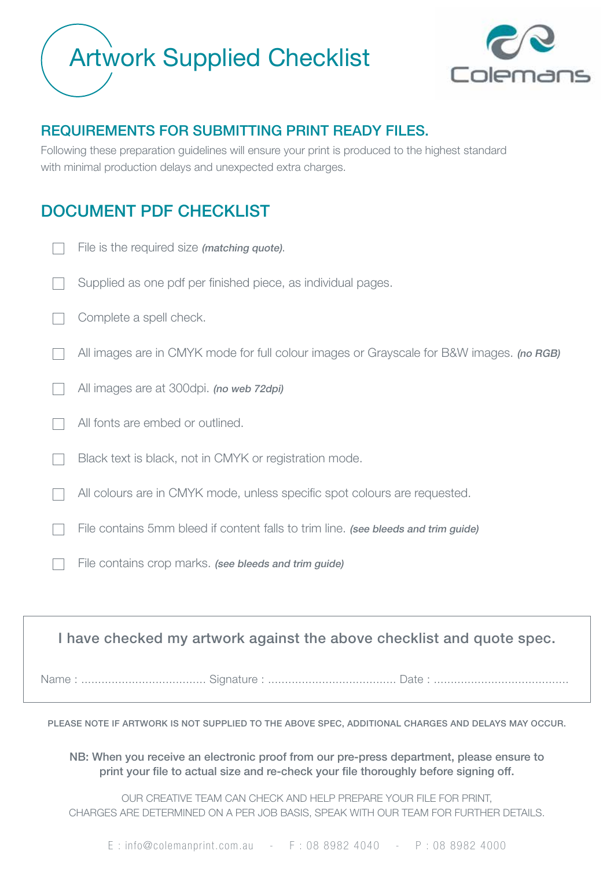## Artwork Supplied Checklist



## REQUIREMENTS FOR SUBMITTING PRINT READY FILES.

Following these preparation guidelines will ensure your print is produced to the highest standard with minimal production delays and unexpected extra charges.

## DOCUMENT PDF CHECKLIST

| File is the required size (matching quote).                                              |
|------------------------------------------------------------------------------------------|
| Supplied as one pdf per finished piece, as individual pages.                             |
| Complete a spell check.                                                                  |
| All images are in CMYK mode for full colour images or Grayscale for B&W images. (no RGB) |
| All images are at 300dpi. (no web 72dpi)                                                 |
| All fonts are embed or outlined.                                                         |
| Black text is black, not in CMYK or registration mode.                                   |
| All colours are in CMYK mode, unless specific spot colours are requested.                |
| File contains 5mm bleed if content falls to trim line. (see bleeds and trim guide)       |
| File contains crop marks. (see bleeds and trim guide)                                    |
|                                                                                          |
|                                                                                          |

I have checked my artwork against the above checklist and quote spec.

Name : ..................................... Signature : ...................................... Date : ........................................

PLEASE NOTE IF ARTWORK IS NOT SUPPLIED TO THE ABOVE SPEC, ADDITIONAL CHARGES AND DELAYS MAY OCCUR.

NB: When you receive an electronic proof from our pre-press department, please ensure to print your file to actual size and re-check your file thoroughly before signing off.

OUR CREATIVE TEAM CAN CHECK AND HELP PREPARE YOUR FILE FOR PRINT, CHARGES ARE DETERMINED ON A PER JOB BASIS, SPEAK WITH OUR TEAM FOR FURTHER DETAILS.